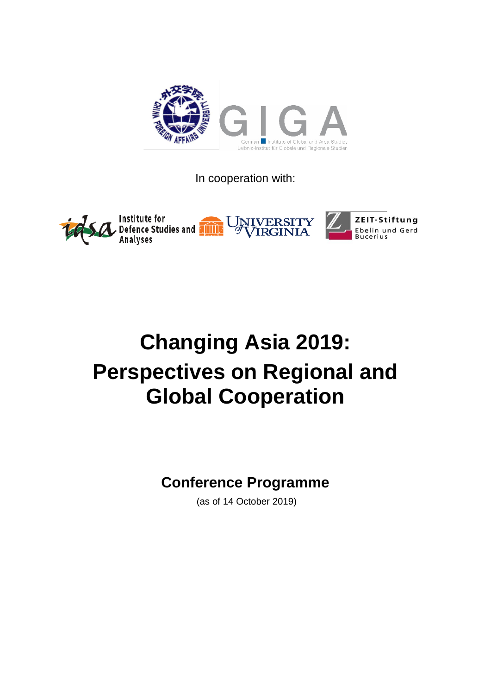

In cooperation with:



# **Changing Asia 2019: Perspectives on Regional and Global Cooperation**

# **Conference Programme**

(as of 14 October 2019)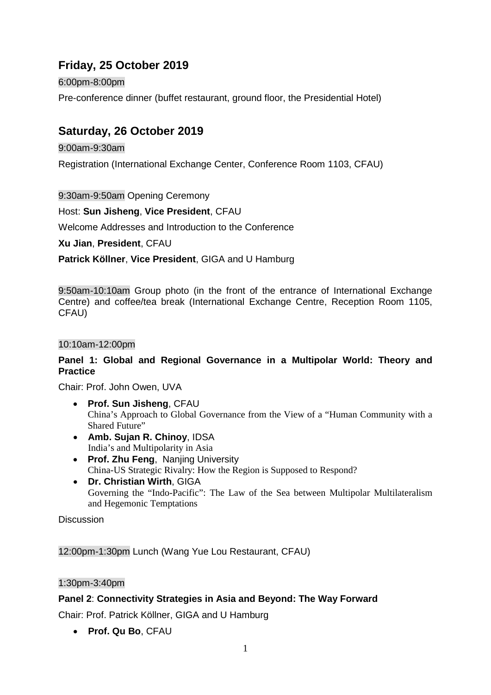# **Friday, 25 October 2019**

6:00pm-8:00pm

Pre-conference dinner (buffet restaurant, ground floor, the Presidential Hotel)

## **Saturday, 26 October 2019**

9:00am-9:30am

Registration (International Exchange Center, Conference Room 1103, CFAU)

9:30am-9:50am Opening Ceremony

Host: **Sun Jisheng**, **Vice President**, CFAU

Welcome Addresses and Introduction to the Conference

**Xu Jian**, **President**, CFAU

**Patrick Köllner**, **Vice President**, GIGA and U Hamburg

9:50am-10:10am Group photo (in the front of the entrance of International Exchange Centre) and coffee/tea break (International Exchange Centre, Reception Room 1105, CFAU)

#### 10:10am-12:00pm

#### **Panel 1: Global and Regional Governance in a Multipolar World: Theory and Practice**

Chair: Prof. John Owen, UVA

- **Prof. Sun Jisheng**, CFAU China's Approach to Global Governance from the View of a "Human Community with a Shared Future"
- **Amb. Sujan R. Chinoy**, IDSA India's and Multipolarity in Asia
- **Prof. Zhu Feng**, Nanjing University China-US Strategic Rivalry: How the Region is Supposed to Respond?
- **Dr. Christian Wirth**, GIGA Governing the "Indo-Pacific": The Law of the Sea between Multipolar Multilateralism and Hegemonic Temptations

**Discussion** 

12:00pm-1:30pm Lunch (Wang Yue Lou Restaurant, CFAU)

#### 1:30pm-3:40pm

#### **Panel 2**: **Connectivity Strategies in Asia and Beyond: The Way Forward**

Chair: Prof. Patrick Köllner, GIGA and U Hamburg

• **Prof. Qu Bo**, CFAU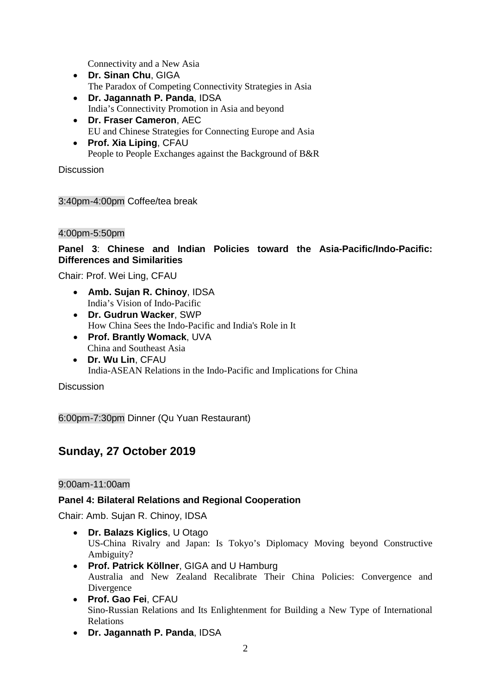Connectivity and a New Asia

- **Dr. Sinan Chu**, GIGA The Paradox of Competing Connectivity Strategies in Asia
- **Dr. Jagannath P. Panda**, IDSA India's Connectivity Promotion in Asia and beyond
- **Dr. Fraser Cameron**, AEC EU and Chinese Strategies for Connecting Europe and Asia
- **Prof. Xia Liping**, CFAU People to People Exchanges against the Background of B&R

**Discussion** 

3:40pm-4:00pm Coffee/tea break

#### 4:00pm-5:50pm

#### **Panel 3**: **Chinese and Indian Policies toward the Asia-Pacific/Indo-Pacific: Differences and Similarities**

Chair: Prof. Wei Ling, CFAU

- **Amb. Sujan R. Chinoy**, IDSA India's Vision of Indo-Pacific
- **Dr. Gudrun Wacker**, SWP How China Sees the Indo-Pacific and India's Role in It
- **Prof. Brantly Womack**, UVA China and Southeast Asia
- **Dr. Wu Lin**, CFAU India-ASEAN Relations in the Indo-Pacific and Implications for China

**Discussion** 

6:00pm-7:30pm Dinner (Qu Yuan Restaurant)

### **Sunday, 27 October 2019**

#### 9:00am-11:00am

#### **Panel 4: Bilateral Relations and Regional Cooperation**

Chair: Amb. Sujan R. Chinoy, IDSA

- **Dr. Balazs Kiglics**, U Otago US-China Rivalry and Japan: Is Tokyo's Diplomacy Moving beyond Constructive Ambiguity?
- **Prof. Patrick Köllner**, GIGA and U Hamburg Australia and New Zealand Recalibrate Their China Policies: Convergence and Divergence
- **Prof. Gao Fei**, CFAU Sino-Russian Relations and Its Enlightenment for Building a New Type of International Relations
- **Dr. Jagannath P. Panda**, IDSA